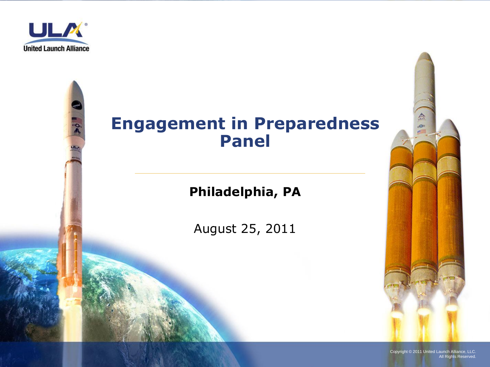

## **Engagement in Preparedness Panel**

#### **Philadelphia, PA**

August 25, 2011



Copyright © 2011 United Launch Alliance, LLC. All Rights Reserved.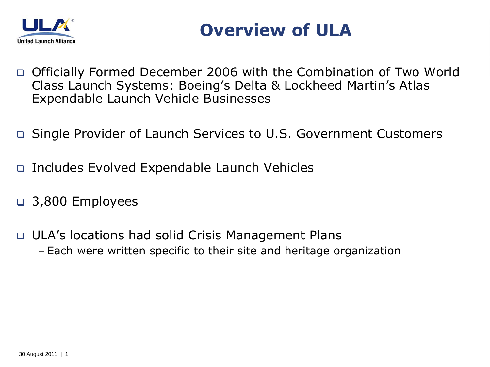



- □ Officially Formed December 2006 with the Combination of Two World Class Launch Systems: Boeing's Delta & Lockheed Martin's Atlas Expendable Launch Vehicle Businesses
- Single Provider of Launch Services to U.S. Government Customers
- Includes Evolved Expendable Launch Vehicles
- 3,800 Employees
- ULA's locations had solid Crisis Management Plans – Each were written specific to their site and heritage organization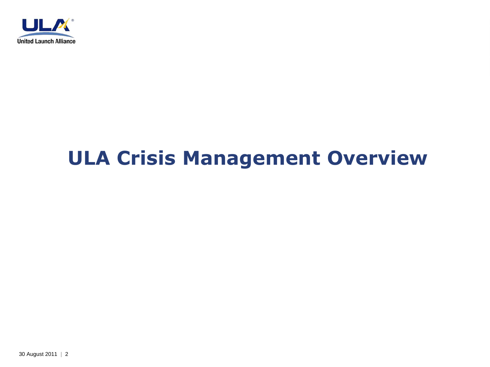

# **ULA Crisis Management Overview**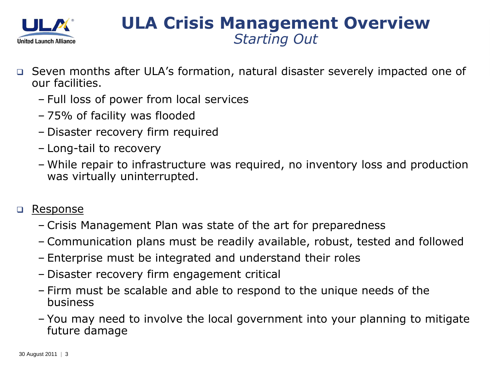

### **ULA Crisis Management Overview** *Starting Out*

- Seven months after ULA's formation, natural disaster severely impacted one of our facilities.
	- Full loss of power from local services
	- 75% of facility was flooded
	- Disaster recovery firm required
	- Long-tail to recovery
	- While repair to infrastructure was required, no inventory loss and production was virtually uninterrupted.

#### □ Response

- Crisis Management Plan was state of the art for preparedness
- Communication plans must be readily available, robust, tested and followed
- Enterprise must be integrated and understand their roles
- Disaster recovery firm engagement critical
- Firm must be scalable and able to respond to the unique needs of the business
- You may need to involve the local government into your planning to mitigate future damage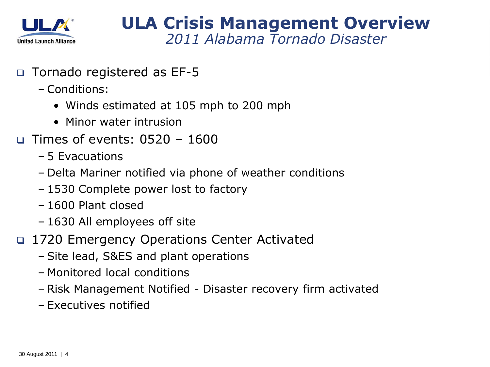

#### **ULA Crisis Management Overview** *2011 Alabama Tornado Disaster*

- Tornado registered as EF-5
	- Conditions:
		- Winds estimated at 105 mph to 200 mph
		- Minor water intrusion
- $\Box$  Times of events: 0.520 1.600
	- 5 Evacuations
	- Delta Mariner notified via phone of weather conditions
	- 1530 Complete power lost to factory
	- 1600 Plant closed
	- 1630 All employees off site
- □ 1720 Emergency Operations Center Activated
	- Site lead, S&ES and plant operations
	- Monitored local conditions
	- Risk Management Notified Disaster recovery firm activated
	- Executives notified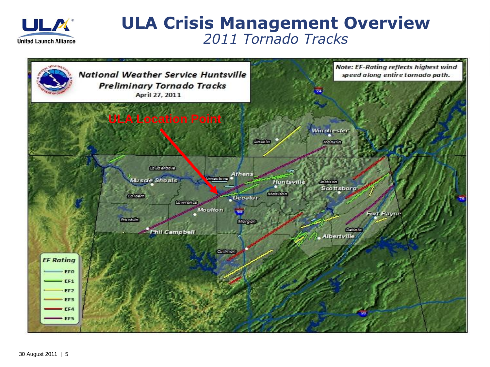

#### **ULA Crisis Management Overview** *2011 Tornado Tracks*

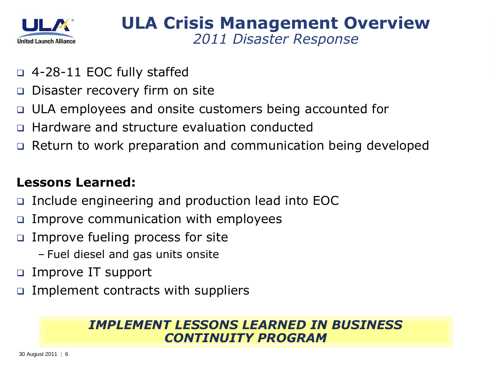

- 4-28-11 EOC fully staffed
- □ Disaster recovery firm on site
- ULA employees and onsite customers being accounted for
- Hardware and structure evaluation conducted
- □ Return to work preparation and communication being developed

#### **Lessons Learned:**

- Include engineering and production lead into EOC
- $\Box$  Improve communication with employees
- □ Improve fueling process for site
	- Fuel diesel and gas units onsite
- Improve IT support
- Implement contracts with suppliers

#### *IMPLEMENT LESSONS LEARNED IN BUSINESS CONTINUITY PROGRAM*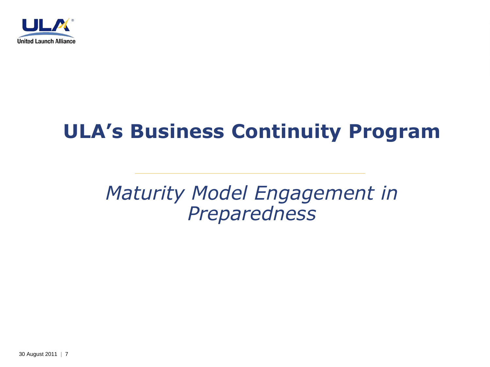

# **ULA's Business Continuity Program**

## *Maturity Model Engagement in Preparedness*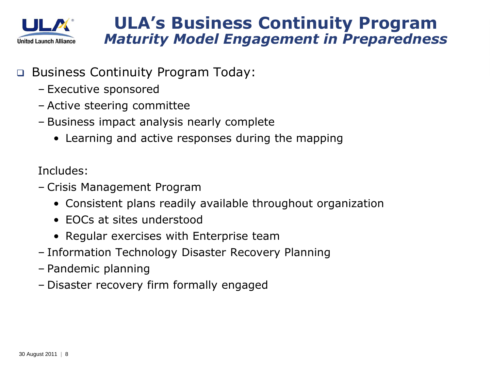

#### **ULA's Business Continuity Program** *Maturity Model Engagement in Preparedness*

- Business Continuity Program Today:
	- Executive sponsored
	- Active steering committee
	- Business impact analysis nearly complete
		- Learning and active responses during the mapping

Includes:

- Crisis Management Program
	- Consistent plans readily available throughout organization
	- EOCs at sites understood
	- Regular exercises with Enterprise team
- Information Technology Disaster Recovery Planning
- Pandemic planning
- Disaster recovery firm formally engaged